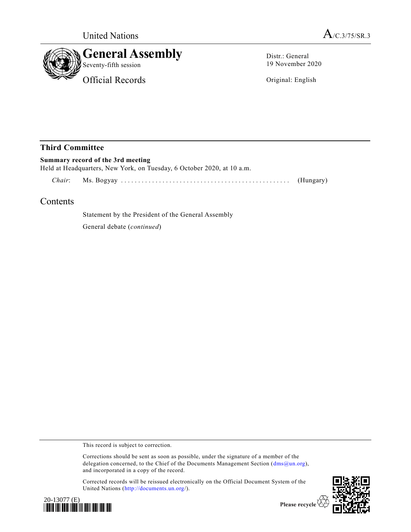



Distr.: General 19 November 2020

Original: English

## **Third Committee**

**Summary record of the 3rd meeting** Held at Headquarters, New York, on Tuesday, 6 October 2020, at 10 a.m.

*Chair*: Ms. Bogyay ................................ ................. (Hungary)

# Contents

Statement by the President of the General Assembly

General debate (*continued*)

This record is subject to correction.

Corrections should be sent as soon as possible, under the signature of a member of the delegation concerned, to the Chief of the Documents Management Section [\(dms@un.org\)](mailto:dms@un.org), and incorporated in a copy of the record.

Corrected records will be reissued electronically on the Official Document System of the United Nations [\(http://documents.un.org/](http://documents.un.org/)).





Please recycle  $\overline{\mathcal{C}}$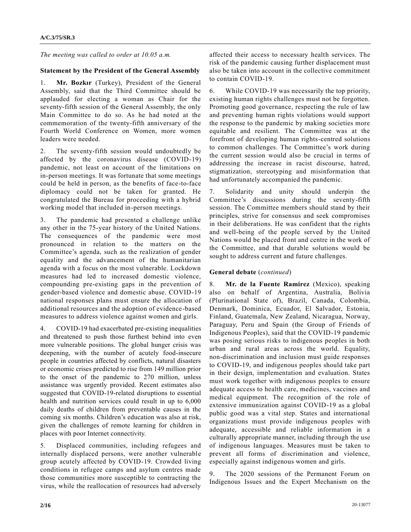*The meeting was called to order at 10.05 a.m.*

#### **Statement by the President of the General Assembly**

1. **Mr. Bozkır** (Turkey), President of the General Assembly, said that the Third Committee should be applauded for electing a woman as Chair for the seventy-fifth session of the General Assembly, the only Main Committee to do so. As he had noted at the commemoration of the twenty-fifth anniversary of the Fourth World Conference on Women, more women leaders were needed.

2. The seventy-fifth session would undoubtedly be affected by the coronavirus disease (COVID-19) pandemic, not least on account of the limitations on in- person meetings. It was fortunate that some meetings could be held in person, as the benefits of face-to-face diplomacy could not be taken for granted. He congratulated the Bureau for proceeding with a hybrid working model that included in-person meetings.

3. The pandemic had presented a challenge unlike any other in the 75-year history of the United Nations. The consequences of the pandemic were most pronounced in relation to the matters on the Committee's agenda, such as the realization of gender equality and the advancement of the humanitarian agenda with a focus on the most vulnerable. Lockdown measures had led to increased domestic violence, compounding pre-existing gaps in the prevention of gender-based violence and domestic abuse. COVID-19 national responses plans must ensure the allocation of additional resources and the adoption of evidence-based measures to address violence against women and girls.

4. COVID-19 had exacerbated pre-existing inequalities and threatened to push those furthest behind into even more vulnerable positions. The global hunger crisis was deepening, with the number of acutely food-insecure people in countries affected by conflicts, natural disasters or economic crises predicted to rise from 149 million prior to the onset of the pandemic to 270 million, unless assistance was urgently provided. Recent estimates also suggested that COVID-19-related disruptions to essential health and nutrition services could result in up to 6,000 daily deaths of children from preventable causes in the coming six months. Children's education was also at risk, given the challenges of remote learning for children in places with poor Internet connectivity.

5. Displaced communities, including refugees and internally displaced persons, were another vulnerable group acutely affected by COVID-19. Crowded living conditions in refugee camps and asylum centres made those communities more susceptible to contracting the virus, while the reallocation of resources had adversely affected their access to necessary health services. The risk of the pandemic causing further displacement must also be taken into account in the collective commitment to contain COVID-19.

6. While COVID-19 was necessarily the top priority, existing human rights challenges must not be forgotten. Promoting good governance, respecting the rule of law and preventing human rights violations would support the response to the pandemic by making societies more equitable and resilient. The Committee was at the forefront of developing human rights-centred solutions to common challenges. The Committee's work during the current session would also be crucial in terms of addressing the increase in racist discourse, hatred, stigmatization, stereotyping and misinformation that had unfortunately accompanied the pandemic.

7. Solidarity and unity should underpin the Committee's discussions during the seventy-fifth session. The Committee members should stand by their principles, strive for consensus and seek compromises in their deliberations. He was confident that the rights and well-being of the people served by the United Nations would be placed front and centre in the work of the Committee, and that durable solutions would be sought to address current and future challenges.

#### **General debate** (*continued*)

8. **Mr. de la Fuente Ramirez** (Mexico), speaking also on behalf of Argentina, Australia, Bolivia (Plurinational State of), Brazil, Canada, Colombia, Denmark, Dominica, Ecuador, El Salvador, Estonia, Finland, Guatemala, New Zealand, Nicaragua, Norway, Paraguay, Peru and Spain (the Group of Friends of Indigenous Peoples), said that the COVID-19 pandemic was posing serious risks to indigenous peoples in both urban and rural areas across the world. Equality, non-discrimination and inclusion must guide responses to COVID-19, and indigenous peoples should take part in their design, implementation and evaluation. States must work together with indigenous peoples to ensure adequate access to health care, medicines, vaccines and medical equipment. The recognition of the role of extensive immunization against COVID-19 as a global public good was a vital step. States and international organizations must provide indigenous peoples with adequate, accessible and reliable information in a culturally appropriate manner, including through the use of indigenous languages. Measures must be taken to prevent all forms of discrimination and violence, especially against indigenous women and girls.

9. The 2020 sessions of the Permanent Forum on Indigenous Issues and the Expert Mechanism on the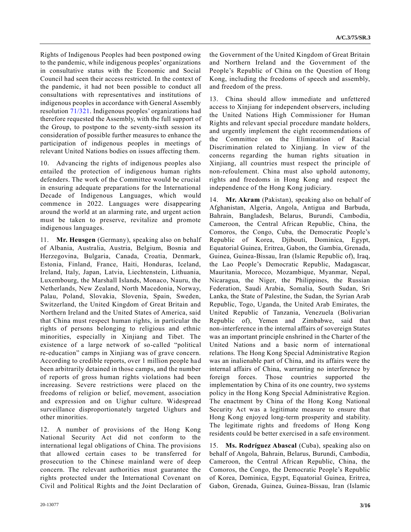Rights of Indigenous Peoples had been postponed owing to the pandemic, while indigenous peoples' organizations in consultative status with the Economic and Social Council had seen their access restricted. In the context of the pandemic, it had not been possible to conduct all consultations with representatives and institutions of indigenous peoples in accordance with General Assembly resolution [71/321.](https://undocs.org/en/A/RES/71/321) Indigenous peoples' organizations had therefore requested the Assembly, with the full support of the Group, to postpone to the seventy-sixth session its consideration of possible further measures to enhance the participation of indigenous peoples in meetings of relevant United Nations bodies on issues affecting them.

10. Advancing the rights of indigenous peoples also entailed the protection of indigenous human rights defenders. The work of the Committee would be crucial in ensuring adequate preparations for the International Decade of Indigenous Languages, which would commence in 2022. Languages were disappearing around the world at an alarming rate, and urgent action must be taken to preserve, revitalize and promote indigenous languages.

11. **Mr. Heusgen** (Germany), speaking also on behalf of Albania, Australia, Austria, Belgium, Bosnia and Herzegovina, Bulgaria, Canada, Croatia, Denmark, Estonia, Finland, France, Haiti, Honduras, Iceland, Ireland, Italy, Japan, Latvia, Liechtenstein, Lithuania, Luxembourg, the Marshall Islands, Monaco, Nauru, the Netherlands, New Zealand, North Macedonia, Norway, Palau, Poland, Slovakia, Slovenia, Spain, Sweden, Switzerland, the United Kingdom of Great Britain and Northern Ireland and the United States of America, said that China must respect human rights, in particular the rights of persons belonging to religious and ethnic minorities, especially in Xinjiang and Tibet. The existence of a large network of so-called "political re-education" camps in Xinjiang was of grave concern. According to credible reports, over 1 million people had been arbitrarily detained in those camps, and the number of reports of gross human rights violations had been increasing. Severe restrictions were placed on the freedoms of religion or belief, movement, association and expression and on Uighur culture. Widespread surveillance disproportionately targeted Uighurs and other minorities.

12. A number of provisions of the Hong Kong National Security Act did not conform to the international legal obligations of China. The provisions that allowed certain cases to be transferred for prosecution to the Chinese mainland were of deep concern. The relevant authorities must guarantee the rights protected under the International Covenant on Civil and Political Rights and the Joint Declaration of the Government of the United Kingdom of Great Britain and Northern Ireland and the Government of the People's Republic of China on the Question of Hong Kong, including the freedoms of speech and assembly, and freedom of the press.

13. China should allow immediate and unfettered access to Xinjiang for independent observers, including the United Nations High Commissioner for Human Rights and relevant special procedure mandate holders, and urgently implement the eight recommendations of the Committee on the Elimination of Racial Discrimination related to Xinjiang. In view of the concerns regarding the human rights situation in Xinjiang, all countries must respect the principle of non- refoulement. China must also uphold autonomy, rights and freedoms in Hong Kong and respect the independence of the Hong Kong judiciary.

14. **Mr. Akram** (Pakistan), speaking also on behalf of Afghanistan, Algeria, Angola, Antigua and Barbuda, Bahrain, Bangladesh, Belarus, Burundi, Cambodia, Cameroon, the Central African Republic, China, the Comoros, the Congo, Cuba, the Democratic People's Republic of Korea, Djibouti, Dominica, Egypt, Equatorial Guinea, Eritrea, Gabon, the Gambia, Grenada, Guinea, Guinea-Bissau, Iran (Islamic Republic of), Iraq, the Lao People's Democratic Republic, Madagascar, Mauritania, Morocco, Mozambique, Myanmar, Nepal, Nicaragua, the Niger, the Philippines, the Russian Federation, Saudi Arabia, Somalia, South Sudan, Sri Lanka, the State of Palestine, the Sudan, the Syrian Arab Republic, Togo, Uganda, the United Arab Emirates, the United Republic of Tanzania, Venezuela (Bolivarian Republic of), Yemen and Zimbabwe, said that non- interference in the internal affairs of sovereign States was an important principle enshrined in the Charter of the United Nations and a basic norm of international relations. The Hong Kong Special Administrative Region was an inalienable part of China, and its affairs were the internal affairs of China, warranting no interference by foreign forces. Those countries supported the implementation by China of its one country, two systems policy in the Hong Kong Special Administrative Region. The enactment by China of the Hong Kong National Security Act was a legitimate measure to ensure that Hong Kong enjoyed long-term prosperity and stability. The legitimate rights and freedoms of Hong Kong residents could be better exercised in a safe environment.

15. **Ms. Rodríguez Abascal** (Cuba), speaking also on behalf of Angola, Bahrain, Belarus, Burundi, Cambodia, Cameroon, the Central African Republic, China, the Comoros, the Congo, the Democratic People's Republic of Korea, Dominica, Egypt, Equatorial Guinea, Eritrea, Gabon, Grenada, Guinea, Guinea-Bissau, Iran (Islamic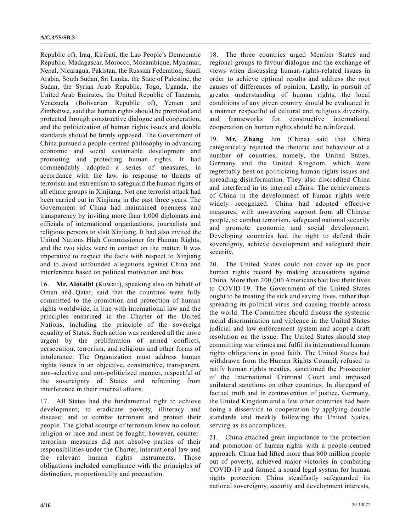Republic of), Iraq, Kiribati, the Lao People's Democratic Republic, Madagascar, Morocco, Mozambique, Myanmar, Nepal, Nicaragua, Pakistan, the Russian Federation, Saudi Arabia, South Sudan, Sri Lanka, the State of Palestine, the Sudan, the Syrian Arab Republic, Togo, Uganda, the United Arab Emirates, the United Republic of Tanzania, Venezuela (Bolivarian Republic of), Yemen and Zimbabwe, said that human rights should be promoted and protected through constructive dialogue and cooperation, and the politicization of human rights issues and double standards should be firmly opposed. The Government of China pursued a people-centred philosophy in advancing economic and social sustainable development and promoting and protecting human rights. It had commendably adopted a series of measures, in accordance with the law, in response to threats of terrorism and extremism to safeguard the human rights of all ethnic groups in Xinjiang. Not one terrorist attack had been carried out in Xinjiang in the past three years. The Government of China had maintained openness and transparency by inviting more than 1,000 diplomats and officials of international organizations, journalists and religious persons to visit Xinjiang. It had also invited the United Nations High Commissioner for Human Rights, and the two sides were in contact on the matter. It was imperative to respect the facts with respect to Xinjiang and to avoid unfounded allegations against China and interference based on political motivation and bias.

16. **Mr. Alotaibi** (Kuwait), speaking also on behalf of Oman and Qatar, said that the countries were fully committed to the promotion and protection of human rights worldwide, in line with international law and the principles enshrined in the Charter of the United Nations, including the principle of the sovereign equality of States. Such action was rendered all the more urgent by the proliferation of armed conflicts, persecution, terrorism, and religious and other forms of intolerance. The Organization must address human rights issues in an objective, constructive, transparent, non-selective and non-politicized manner, respectful of the sovereignty of States and refraining from interference in their internal affairs.

17. All States had the fundamental right to achieve development; to eradicate poverty, illiteracy and disease; and to combat terrorism and protect their people. The global scourge of terrorism knew no colour, religion or race and must be fought; however, counterterrorism measures did not absolve parties of their responsibilities under the Charter, international law and the relevant human rights instruments. Those obligations included compliance with the principles of distinction, proportionality and precaution.

18. The three countries urged Member States and regional groups to favour dialogue and the exchange of views when discussing human-rights-related issues in order to achieve optimal results and address the root causes of differences of opinion. Lastly, in pursuit of greater understanding of human rights, the local conditions of any given country should be evaluated in a manner respectful of cultural and religious diversity, and frameworks for constructive international cooperation on human rights should be reinforced.

19. **Mr. Zhang** Jun (China) said that China categorically rejected the rhetoric and behaviour of a number of countries, namely, the United States, Germany and the United Kingdom, which were regrettably bent on politicizing human rights issues and spreading disinformation. They also discredited China and interfered in its internal affairs. The achievements of China in the development of human rights were widely recognized. China had adopted effective measures, with unwavering support from all Chinese people, to combat terrorism, safeguard national security and promote economic and social development. Developing countries had the right to defend their sovereignty, achieve development and safeguard their security.

20. The United States could not cover up its poor human rights record by making accusations against China. More than 200,000 Americans had lost their lives to COVID-19. The Government of the United States ought to be treating the sick and saving lives, rather than spreading its political virus and causing trouble across the world. The Committee should discuss the systemic racial discrimination and violence in the United States judicial and law enforcement system and adopt a draft resolution on the issue. The United States should stop committing war crimes and fulfil its international human rights obligations in good faith. The United States had withdrawn from the Human Rights Council, refused to ratify human rights treaties, sanctioned the Prosecutor of the International Criminal Court and imposed unilateral sanctions on other countries. In disregard of factual truth and in contravention of justice, Germany, the United Kingdom and a few other countries had been doing a disservice to cooperation by applying double standards and meekly following the United States, serving as its accomplices.

21. China attached great importance to the protection and promotion of human rights with a people-centred approach. China had lifted more than 800 million people out of poverty, achieved major victories in combating COVID-19 and formed a sound legal system for human rights protection. China steadfastly safeguarded its national sovereignty, security and development interests,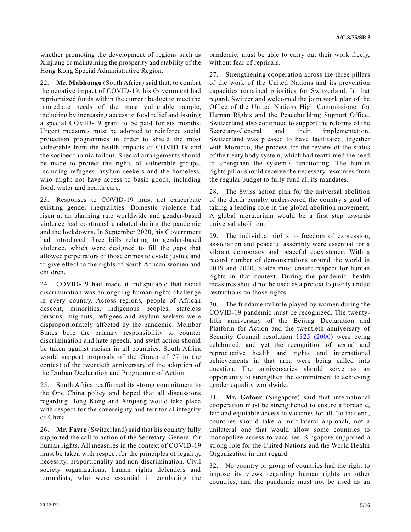whether promoting the development of regions such as Xinjiang or maintaining the prosperity and stability of the Hong Kong Special Administrative Region.

22. **Mr. Mabhongo** (South Africa) said that, to combat the negative impact of COVID-19, his Government had reprioritized funds within the current budget to meet the immediate needs of the most vulnerable people, including by increasing access to food relief and issuing a special COVID-19 grant to be paid for six months. Urgent measures must be adopted to reinforce social protection programmes in order to shield the most vulnerable from the health impacts of COVID-19 and the socioeconomic fallout. Special arrangements should be made to protect the rights of vulnerable groups, including refugees, asylum seekers and the homeless, who might not have access to basic goods, including food, water and health care.

23. Responses to COVID-19 must not exacerbate existing gender inequalities. Domestic violence had risen at an alarming rate worldwide and gender-based violence had continued unabated during the pandemic and the lockdowns. In September 2020, his Government had introduced three bills relating to gender-based violence, which were designed to fill the gaps that allowed perpetrators of those crimes to evade justice and to give effect to the rights of South African women and children.

24. COVID-19 had made it indisputable that racial discrimination was an ongoing human rights challenge in every country. Across regions, people of African descent, minorities, indigenous peoples, stateless persons, migrants, refugees and asylum seekers were disproportionately affected by the pandemic. Member States bore the primary responsibility to counter discrimination and hate speech, and swift action should be taken against racism in all countries. South Africa would support proposals of the Group of 77 in the context of the twentieth anniversary of the adoption of the Durban Declaration and Programme of Action.

25. South Africa reaffirmed its strong commitment to the One China policy and hoped that all discussions regarding Hong Kong and Xinjiang would take place with respect for the sovereignty and territorial integrity of China.

26. **Mr. Favre** (Switzerland) said that his country fully supported the call to action of the Secretary-General for human rights. All measures in the context of COVID-19 must be taken with respect for the principles of legality, necessity, proportionality and non-discrimination. Civil society organizations, human rights defenders and journalists, who were essential in combating the pandemic, must be able to carry out their work freely, without fear of reprisals.

27. Strengthening cooperation across the three pillars of the work of the United Nations and its prevention capacities remained priorities for Switzerland. In that regard, Switzerland welcomed the joint work plan of the Office of the United Nations High Commissioner for Human Rights and the Peacebuilding Support Office. Switzerland also continued to support the reforms of the Secretary-General and their implementation. Switzerland was pleased to have facilitated, together with Morocco, the process for the review of the status of the treaty body system, which had reaffirmed the need to strengthen the system's functioning. The human rights pillar should receive the necessary resources from the regular budget to fully fund all its mandates.

28. The Swiss action plan for the universal abolition of the death penalty underscored the country's goal of taking a leading role in the global abolition movement. A global moratorium would be a first step towards universal abolition.

29. The individual rights to freedom of expression, association and peaceful assembly were essential for a vibrant democracy and peaceful coexistence. With a record number of demonstrations around the world in 2019 and 2020, States must ensure respect for human rights in that context. During the pandemic, health measures should not be used as a pretext to justify undue restrictions on those rights.

30. The fundamental role played by women during the COVID-19 pandemic must be recognized. The twentyfifth anniversary of the Beijing Declaration and Platform for Action and the twentieth anniversary of Security Council resolution [1325 \(2000\)](https://undocs.org/en/S/RES/1325(2000)) were being celebrated, and yet the recognition of sexual and reproductive health and rights and international achievements in that area were being called into question. The anniversaries should serve as an opportunity to strengthen the commitment to achieving gender equality worldwide.

31. **Mr. Gafoor** (Singapore) said that international cooperation must be strengthened to ensure affordable, fair and equitable access to vaccines for all. To that end, countries should take a multilateral approach, not a unilateral one that would allow some countries to monopolize access to vaccines. Singapore supported a strong role for the United Nations and the World Health Organization in that regard.

32. No country or group of countries had the right to impose its views regarding human rights on other countries, and the pandemic must not be used as an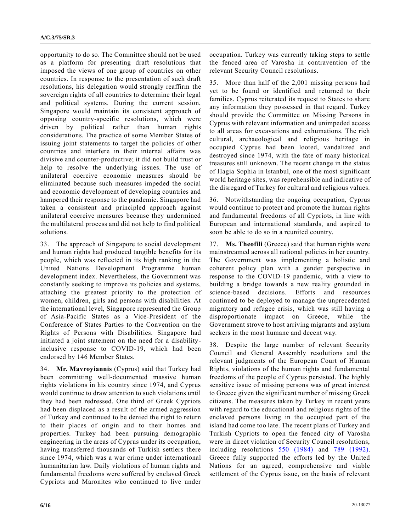opportunity to do so. The Committee should not be used as a platform for presenting draft resolutions that imposed the views of one group of countries on other countries. In response to the presentation of such draft resolutions, his delegation would strongly reaffirm the sovereign rights of all countries to determine their legal and political systems. During the current session, Singapore would maintain its consistent approach of opposing country-specific resolutions, which were driven by political rather than human rights considerations. The practice of some Member States of issuing joint statements to target the policies of other countries and interfere in their internal affairs was divisive and counter-productive; it did not build trust or help to resolve the underlying issues. The use of unilateral coercive economic measures should be eliminated because such measures impeded the social and economic development of developing countries and hampered their response to the pandemic. Singapore had taken a consistent and principled approach against unilateral coercive measures because they undermined the multilateral process and did not help to find political solutions.

33. The approach of Singapore to social development and human rights had produced tangible benefits for its people, which was reflected in its high ranking in the United Nations Development Programme human development index. Nevertheless, the Government was constantly seeking to improve its policies and systems, attaching the greatest priority to the protection of women, children, girls and persons with disabilities. At the international level, Singapore represented the Group of Asia-Pacific States as a Vice-President of the Conference of States Parties to the Convention on the Rights of Persons with Disabilities. Singapore had initiated a joint statement on the need for a disabilityinclusive response to COVID-19, which had been endorsed by 146 Member States.

34. **Mr. Mavroyiannis** (Cyprus) said that Turkey had been committing well-documented massive human rights violations in his country since 1974, and Cyprus would continue to draw attention to such violations until they had been redressed. One third of Greek Cypriots had been displaced as a result of the armed aggression of Turkey and continued to be denied the right to return to their places of origin and to their homes and properties. Turkey had been pursuing demographic engineering in the areas of Cyprus under its occupation, having transferred thousands of Turkish settlers there since 1974, which was a war crime under international humanitarian law. Daily violations of human rights and fundamental freedoms were suffered by enclaved Greek Cypriots and Maronites who continued to live under occupation. Turkey was currently taking steps to settle the fenced area of Varosha in contravention of the relevant Security Council resolutions.

35. More than half of the 2,001 missing persons had yet to be found or identified and returned to their families. Cyprus reiterated its request to States to share any information they possessed in that regard. Turkey should provide the Committee on Missing Persons in Cyprus with relevant information and unimpeded access to all areas for excavations and exhumations. The rich cultural, archaeological and religious heritage in occupied Cyprus had been looted, vandalized and destroyed since 1974, with the fate of many historical treasures still unknown. The recent change in the status of Hagia Sophia in Istanbul, one of the most significant world heritage sites, was reprehensible and indicative of the disregard of Turkey for cultural and religious values.

36. Notwithstanding the ongoing occupation, Cyprus would continue to protect and promote the human rights and fundamental freedoms of all Cypriots, in line with European and international standards, and aspired to soon be able to do so in a reunited country.

37. **Ms. Theofili** (Greece) said that human rights were mainstreamed across all national policies in her country. The Government was implementing a holistic and coherent policy plan with a gender perspective in response to the COVID-19 pandemic, with a view to building a bridge towards a new reality grounded in science-based decisions. Efforts and resources continued to be deployed to manage the unprecedented migratory and refugee crisis, which was still having a disproportionate impact on Greece, while the Government strove to host arriving migrants and asylum seekers in the most humane and decent way.

38. Despite the large number of relevant Security Council and General Assembly resolutions and the relevant judgments of the European Court of Human Rights, violations of the human rights and fundamental freedoms of the people of Cyprus persisted. The highly sensitive issue of missing persons was of great interest to Greece given the significant number of missing Greek citizens. The measures taken by Turkey in recent years with regard to the educational and religious rights of the enclaved persons living in the occupied part of the island had come too late. The recent plans of Turkey and Turkish Cypriots to open the fenced city of Varosha were in direct violation of Security Council resolutions, including resolutions [550 \(1984\)](https://undocs.org/en/S/RES/550(1984)) and [789 \(1992\).](https://undocs.org/en/S/RES/789(1992)) Greece fully supported the efforts led by the United Nations for an agreed, comprehensive and viable settlement of the Cyprus issue, on the basis of relevant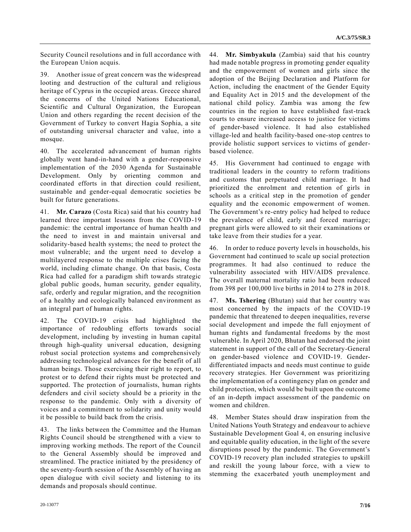Security Council resolutions and in full accordance with the European Union acquis.

39. Another issue of great concern was the widespread looting and destruction of the cultural and religious heritage of Cyprus in the occupied areas. Greece shared the concerns of the United Nations Educational, Scientific and Cultural Organization, the European Union and others regarding the recent decision of the Government of Turkey to convert Hagia Sophia, a site of outstanding universal character and value, into a mosque.

40. The accelerated advancement of human rights globally went hand-in-hand with a gender-responsive implementation of the 2030 Agenda for Sustainable Development. Only by orienting common and coordinated efforts in that direction could resilient, sustainable and gender-equal democratic societies be built for future generations.

41. **Mr. Carazo** (Costa Rica) said that his country had learned three important lessons from the COVID-19 pandemic: the central importance of human health and the need to invest in and maintain universal and solidarity-based health systems; the need to protect the most vulnerable; and the urgent need to develop a multilayered response to the multiple crises facing the world, including climate change. On that basis, Costa Rica had called for a paradigm shift towards strategic global public goods, human security, gender equality, safe, orderly and regular migration, and the recognition of a healthy and ecologically balanced environment as an integral part of human rights.

42. The COVID-19 crisis had highlighted the importance of redoubling efforts towards social development, including by investing in human capital through high-quality universal education, designing robust social protection systems and comprehensively addressing technological advances for the benefit of all human beings. Those exercising their right to report, to protest or to defend their rights must be protected and supported. The protection of journalists, human rights defenders and civil society should be a priority in the response to the pandemic. Only with a diversity of voices and a commitment to solidarity and unity would it be possible to build back from the crisis.

43. The links between the Committee and the Human Rights Council should be strengthened with a view to improving working methods. The report of the Council to the General Assembly should be improved and streamlined. The practice initiated by the presidency of the seventy-fourth session of the Assembly of having an open dialogue with civil society and listening to its demands and proposals should continue.

44. **Mr. Simbyakula** (Zambia) said that his country had made notable progress in promoting gender equality and the empowerment of women and girls since the adoption of the Beijing Declaration and Platform for Action, including the enactment of the Gender Equity and Equality Act in 2015 and the development of the national child policy. Zambia was among the few countries in the region to have established fast-track courts to ensure increased access to justice for victims of gender-based violence. It had also established village-led and health facility-based one-stop centres to provide holistic support services to victims of genderbased violence.

45. His Government had continued to engage with traditional leaders in the country to reform traditions and customs that perpetuated child marriage. It had prioritized the enrolment and retention of girls in schools as a critical step in the promotion of gender equality and the economic empowerment of women. The Government's re-entry policy had helped to reduce the prevalence of child, early and forced marriage; pregnant girls were allowed to sit their examinations or take leave from their studies for a year.

46. In order to reduce poverty levels in households, his Government had continued to scale up social protection programmes. It had also continued to reduce the vulnerability associated with HIV/AIDS prevalence. The overall maternal mortality ratio had been reduced from 398 per 100,000 live births in 2014 to 278 in 2018.

47. **Ms. Tshering** (Bhutan) said that her country was most concerned by the impacts of the COVID-19 pandemic that threatened to deepen inequalities, reverse social development and impede the full enjoyment of human rights and fundamental freedoms by the most vulnerable. In April 2020, Bhutan had endorsed the joint statement in support of the call of the Secretary-General on gender-based violence and COVID-19. Genderdifferentiated impacts and needs must continue to guide recovery strategies. Her Government was prioritizing the implementation of a contingency plan on gender and child protection, which would be built upon the outcome of an in-depth impact assessment of the pandemic on women and children.

48. Member States should draw inspiration from the United Nations Youth Strategy and endeavour to achieve Sustainable Development Goal 4, on ensuring inclusive and equitable quality education, in the light of the severe disruptions posed by the pandemic. The Government's COVID-19 recovery plan included strategies to upskill and reskill the young labour force, with a view to stemming the exacerbated youth unemployment and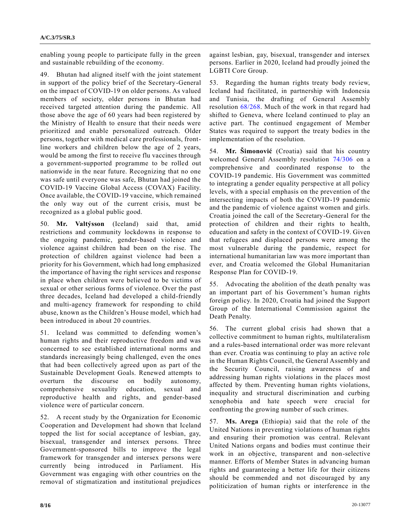enabling young people to participate fully in the green and sustainable rebuilding of the economy.

49. Bhutan had aligned itself with the joint statement in support of the policy brief of the Secretary-General on the impact of COVID-19 on older persons. As valued members of society, older persons in Bhutan had received targeted attention during the pandemic. All those above the age of 60 years had been registered by the Ministry of Health to ensure that their needs were prioritized and enable personalized outreach. Older persons, together with medical care professionals, frontline workers and children below the age of 2 years, would be among the first to receive flu vaccines through a government-supported programme to be rolled out nationwide in the near future. Recognizing that no one was safe until everyone was safe, Bhutan had joined the COVID-19 Vaccine Global Access (COVAX) Facility. Once available, the COVID-19 vaccine, which remained the only way out of the current crisis, must be recognized as a global public good.

50. **Mr. Valtýsson** (Iceland) said that, amid restrictions and community lockdowns in response to the ongoing pandemic, gender-based violence and violence against children had been on the rise. The protection of children against violence had been a priority for his Government, which had long emphasized the importance of having the right services and response in place when children were believed to be victims of sexual or other serious forms of violence. Over the past three decades, Iceland had developed a child-friendly and multi-agency framework for responding to child abuse, known as the Children's House model, which had been introduced in about 20 countries.

51. Iceland was committed to defending women's human rights and their reproductive freedom and was concerned to see established international norms and standards increasingly being challenged, even the ones that had been collectively agreed upon as part of the Sustainable Development Goals. Renewed attempts to overturn the discourse on bodily autonomy, comprehensive sexuality education, sexual and reproductive health and rights, and gender-based violence were of particular concern.

52. A recent study by the Organization for Economic Cooperation and Development had shown that Iceland topped the list for social acceptance of lesbian, gay, bisexual, transgender and intersex persons. Three Government-sponsored bills to improve the legal framework for transgender and intersex persons were currently being introduced in Parliament. His Government was engaging with other countries on the removal of stigmatization and institutional prejudices against lesbian, gay, bisexual, transgender and intersex persons. Earlier in 2020, Iceland had proudly joined the LGBTI Core Group.

53. Regarding the human rights treaty body review, Iceland had facilitated, in partnership with Indonesia and Tunisia, the drafting of General Assembly resolution [68/268.](https://undocs.org/en/A/RES/68/268) Much of the work in that regard had shifted to Geneva, where Iceland continued to play an active part. The continued engagement of Member States was required to support the treaty bodies in the implementation of the resolution.

54. **Mr. Šimonović** (Croatia) said that his country welcomed General Assembly resolution [74/306](https://undocs.org/en/A/RES/74/306) on a comprehensive and coordinated response to the COVID-19 pandemic. His Government was committed to integrating a gender equality perspective at all policy levels, with a special emphasis on the prevention of the intersecting impacts of both the COVID-19 pandemic and the pandemic of violence against women and girls. Croatia joined the call of the Secretary-General for the protection of children and their rights to health, education and safety in the context of COVID-19. Given that refugees and displaced persons were among the most vulnerable during the pandemic, respect for international humanitarian law was more important than ever, and Croatia welcomed the Global Humanitarian Response Plan for COVID-19.

55. Advocating the abolition of the death penalty was an important part of his Government's human rights foreign policy. In 2020, Croatia had joined the Support Group of the International Commission against the Death Penalty.

56. The current global crisis had shown that a collective commitment to human rights, multilateralism and a rules-based international order was more relevant than ever. Croatia was continuing to play an active role in the Human Rights Council, the General Assembly and the Security Council, raising awareness of and addressing human rights violations in the places most affected by them. Preventing human rights violations, inequality and structural discrimination and curbing xenophobia and hate speech were crucial for confronting the growing number of such crimes.

57. **Ms. Arega** (Ethiopia) said that the role of the United Nations in preventing violations of human rights and ensuring their promotion was central. Relevant United Nations organs and bodies must continue their work in an objective, transparent and non-selective manner. Efforts of Member States in advancing human rights and guaranteeing a better life for their citizens should be commended and not discouraged by any politicization of human rights or interference in the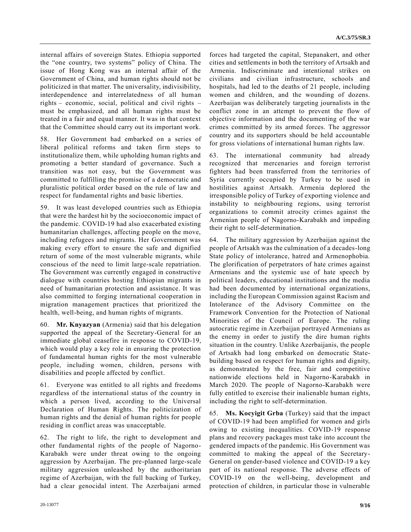internal affairs of sovereign States. Ethiopia supported the "one country, two systems" policy of China. The issue of Hong Kong was an internal affair of the Government of China, and human rights should not be politicized in that matter. The universality, indivisibility, interdependence and interrelatedness of all human rights – economic, social, political and civil rights – must be emphasized, and all human rights must be treated in a fair and equal manner. It was in that context that the Committee should carry out its important work.

58. Her Government had embarked on a series of liberal political reforms and taken firm steps to institutionalize them, while upholding human rights and promoting a better standard of governance. Such a transition was not easy, but the Government was committed to fulfilling the promise of a democratic and pluralistic political order based on the rule of law and respect for fundamental rights and basic liberties.

59. It was least developed countries such as Ethiopia that were the hardest hit by the socioeconomic impact of the pandemic. COVID-19 had also exacerbated existing humanitarian challenges, affecting people on the move, including refugees and migrants. Her Government was making every effort to ensure the safe and dignified return of some of the most vulnerable migrants, while conscious of the need to limit large-scale repatriation. The Government was currently engaged in constructive dialogue with countries hosting Ethiopian migrants in need of humanitarian protection and assistance. It was also committed to forging international cooperation in migration management practices that prioritized the health, well-being, and human rights of migrants.

60. **Mr. Knyazyan** (Armenia) said that his delegation supported the appeal of the Secretary-General for an immediate global ceasefire in response to COVID-19, which would play a key role in ensuring the protection of fundamental human rights for the most vulnerable people, including women, children, persons with disabilities and people affected by conflict.

61. Everyone was entitled to all rights and freedoms regardless of the international status of the country in which a person lived, according to the Universal Declaration of Human Rights. The politicization of human rights and the denial of human rights for people residing in conflict areas was unacceptable.

62. The right to life, the right to development and other fundamental rights of the people of Nagorno-Karabakh were under threat owing to the ongoing aggression by Azerbaijan. The pre-planned large-scale military aggression unleashed by the authoritarian regime of Azerbaijan, with the full backing of Turkey, had a clear genocidal intent. The Azerbaijani armed

forces had targeted the capital, Stepanakert, and other cities and settlements in both the territory of Artsakh and Armenia. Indiscriminate and intentional strikes on civilians and civilian infrastructure, schools and hospitals, had led to the deaths of 21 people, including women and children, and the wounding of dozens. Azerbaijan was deliberately targeting journalists in the conflict zone in an attempt to prevent the flow of objective information and the documenting of the war crimes committed by its armed forces. The aggressor country and its supporters should be held accountable for gross violations of international human rights law.

63. The international community had already recognized that mercenaries and foreign terrorist fighters had been transferred from the territories of Syria currently occupied by Turkey to be used in hostilities against Artsakh. Armenia deplored the irresponsible policy of Turkey of exporting violence and instability to neighbouring regions, using terrorist organizations to commit atrocity crimes against the Armenian people of Nagorno-Karabakh and impeding their right to self-determination.

64. The military aggression by Azerbaijan against the people of Artsakh was the culmination of a decades-long State policy of intolerance, hatred and Armenophobia. The glorification of perpetrators of hate crimes against Armenians and the systemic use of hate speech by political leaders, educational institutions and the media had been documented by international organizations, including the European Commission against Racism and Intolerance of the Advisory Committee on the Framework Convention for the Protection of National Minorities of the Council of Europe. The ruling autocratic regime in Azerbaijan portrayed Armenians as the enemy in order to justify the dire human rights situation in the country. Unlike Azerbaijanis, the people of Artsakh had long embarked on democratic Statebuilding based on respect for human rights and dignity, as demonstrated by the free, fair and competitive nationwide elections held in Nagorno-Karabakh in March 2020. The people of Nagorno-Karabakh were fully entitled to exercise their inalienable human rights, including the right to self-determination.

65. **Ms. Kocyigit Grba** (Turkey) said that the impact of COVID-19 had been amplified for women and girls owing to existing inequalities. COVID-19 response plans and recovery packages must take into account the gendered impacts of the pandemic. His Government was committed to making the appeal of the Secretary-General on gender-based violence and COVID-19 a key part of its national response. The adverse effects of COVID-19 on the well-being, development and protection of children, in particular those in vulnerable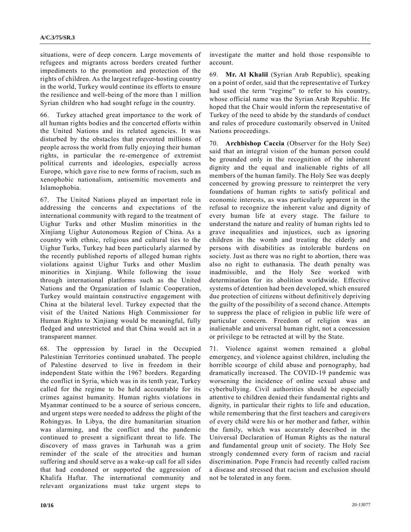situations, were of deep concern. Large movements of refugees and migrants across borders created further impediments to the promotion and protection of the rights of children. As the largest refugee-hosting country in the world, Turkey would continue its efforts to ensure the resilience and well-being of the more than 1 million Syrian children who had sought refuge in the country.

66. Turkey attached great importance to the work of all human rights bodies and the concerted efforts within the United Nations and its related agencies. It was disturbed by the obstacles that prevented millions of people across the world from fully enjoying their human rights, in particular the re-emergence of extremist political currents and ideologies, especially across Europe, which gave rise to new forms of racism, such as xenophobic nationalism, antisemitic movements and Islamophobia.

67. The United Nations played an important role in addressing the concerns and expectations of the international community with regard to the treatment of Uighur Turks and other Muslim minorities in the Xinjiang Uighur Autonomous Region of China. As a country with ethnic, religious and cultural ties to the Uighur Turks, Turkey had been particularly alarmed by the recently published reports of alleged human rights violations against Uighur Turks and other Muslim minorities in Xinjiang. While following the issue through international platforms such as the United Nations and the Organization of Islamic Cooperation, Turkey would maintain constructive engagement with China at the bilateral level. Turkey expected that the visit of the United Nations High Commissioner for Human Rights to Xinjiang would be meaningful, fully fledged and unrestricted and that China would act in a transparent manner.

68. The oppression by Israel in the Occupied Palestinian Territories continued unabated. The people of Palestine deserved to live in freedom in their independent State within the 1967 borders. Regarding the conflict in Syria, which was in its tenth year, Turkey called for the regime to be held accountable for its crimes against humanity. Human rights violations in Myanmar continued to be a source of serious concern, and urgent steps were needed to address the plight of the Rohingyas. In Libya, the dire humanitarian situation was alarming, and the conflict and the pandemic continued to present a significant threat to life. The discovery of mass graves in Tarhunah was a grim reminder of the scale of the atrocities and human suffering and should serve as a wake-up call for all sides that had condoned or supported the aggression of Khalifa Haftar. The international community and relevant organizations must take urgent steps to

investigate the matter and hold those responsible to account.

69. **Mr. Al Khalil** (Syrian Arab Republic), speaking on a point of order, said that the representative of Turkey had used the term "regime" to refer to his country, whose official name was the Syrian Arab Republic. He hoped that the Chair would inform the representative of Turkey of the need to abide by the standards of conduct and rules of procedure customarily observed in United Nations proceedings.

70. **Archbishop Caccia** (Observer for the Holy See) said that an integral vision of the human person could be grounded only in the recognition of the inherent dignity and the equal and inalienable rights of all members of the human family. The Holy See was deeply concerned by growing pressure to reinterpret the very foundations of human rights to satisfy political and economic interests, as was particularly apparent in the refusal to recognize the inherent value and dignity of every human life at every stage. The failure to understand the nature and reality of human rights led to grave inequalities and injustices, such as ignoring children in the womb and treating the elderly and persons with disabilities as intolerable burdens on society. Just as there was no right to abortion, there was also no right to euthanasia. The death penalty was inadmissible, and the Holy See worked with determination for its abolition worldwide. Effective systems of detention had been developed, which ensured due protection of citizens without definitively depriving the guilty of the possibility of a second chance. Attempts to suppress the place of religion in public life were of particular concern. Freedom of religion was an inalienable and universal human right, not a concession or privilege to be retracted at will by the State.

71. Violence against women remained a global emergency, and violence against children, including the horrible scourge of child abuse and pornography, had dramatically increased. The COVID-19 pandemic was worsening the incidence of online sexual abuse and cyberbullying. Civil authorities should be especially attentive to children denied their fundamental rights and dignity, in particular their rights to life and education, while remembering that the first teachers and caregivers of every child were his or her mother and father, within the family, which was accurately described in the Universal Declaration of Human Rights as the natural and fundamental group unit of society. The Holy See strongly condemned every form of racism and racial discrimination. Pope Francis had recently called racism a disease and stressed that racism and exclusion should not be tolerated in any form.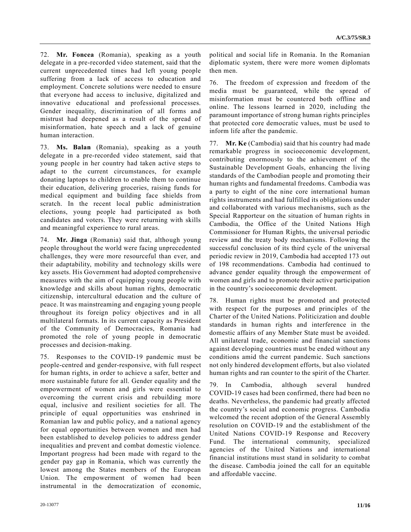72. **Mr. Foncea** (Romania), speaking as a youth delegate in a pre-recorded video statement, said that the current unprecedented times had left young people suffering from a lack of access to education and employment. Concrete solutions were needed to ensure that everyone had access to inclusive, digitalized and innovative educational and professional processes. Gender inequality, discrimination of all forms and mistrust had deepened as a result of the spread of misinformation, hate speech and a lack of genuine human interaction.

73. **Ms. Balan** (Romania), speaking as a youth delegate in a pre-recorded video statement, said that young people in her country had taken active steps to adapt to the current circumstances, for example donating laptops to children to enable them to continue their education, delivering groceries, raising funds for medical equipment and building face shields from scratch. In the recent local public administration elections, young people had participated as both candidates and voters. They were returning with skills and meaningful experience to rural areas.

74. **Mr. Jinga** (Romania) said that, although young people throughout the world were facing unprecedented challenges, they were more resourceful than ever, and their adaptability, mobility and technology skills were key assets. His Government had adopted comprehensive measures with the aim of equipping young people with knowledge and skills about human rights, democratic citizenship, intercultural education and the culture of peace. It was mainstreaming and engaging young people throughout its foreign policy objectives and in all multilateral formats. In its current capacity as President of the Community of Democracies, Romania had promoted the role of young people in democratic processes and decision-making.

75. Responses to the COVID-19 pandemic must be people-centred and gender-responsive, with full respect for human rights, in order to achieve a safer, better and more sustainable future for all. Gender equality and the empowerment of women and girls were essential to overcoming the current crisis and rebuilding more equal, inclusive and resilient societies for all. The principle of equal opportunities was enshrined in Romanian law and public policy, and a national agency for equal opportunities between women and men had been established to develop policies to address gender inequalities and prevent and combat domestic violence. Important progress had been made with regard to the gender pay gap in Romania, which was currently the lowest among the States members of the European Union. The empowerment of women had been instrumental in the democratization of economic, political and social life in Romania. In the Romanian diplomatic system, there were more women diplomats then men.

76. The freedom of expression and freedom of the media must be guaranteed, while the spread of misinformation must be countered both offline and online. The lessons learned in 2020, including the paramount importance of strong human rights principles that protected core democratic values, must be used to inform life after the pandemic.

77. **Mr. Ke** (Cambodia) said that his country had made remarkable progress in socioeconomic development, contributing enormously to the achievement of the Sustainable Development Goals, enhancing the living standards of the Cambodian people and promoting their human rights and fundamental freedoms. Cambodia was a party to eight of the nine core international human rights instruments and had fulfilled its obligations under and collaborated with various mechanisms, such as the Special Rapporteur on the situation of human rights in Cambodia, the Office of the United Nations High Commissioner for Human Rights, the universal periodic review and the treaty body mechanisms. Following the successful conclusion of its third cycle of the universal periodic review in 2019, Cambodia had accepted 173 out of 198 recommendations. Cambodia had continued to advance gender equality through the empowerment of women and girls and to promote their active participation in the country's socioeconomic development.

78. Human rights must be promoted and protected with respect for the purposes and principles of the Charter of the United Nations. Politicization and double standards in human rights and interference in the domestic affairs of any Member State must be avoided. All unilateral trade, economic and financial sanctions against developing countries must be ended without any conditions amid the current pandemic. Such sanctions not only hindered development efforts, but also violated human rights and ran counter to the spirit of the Charter.

79. In Cambodia, although several hundred COVID-19 cases had been confirmed, there had been no deaths. Nevertheless, the pandemic had greatly affected the country's social and economic progress. Cambodia welcomed the recent adoption of the General Assembly resolution on COVID-19 and the establishment of the United Nations COVID-19 Response and Recovery Fund. The international community, specialized agencies of the United Nations and international financial institutions must stand in solidarity to combat the disease. Cambodia joined the call for an equitable and affordable vaccine.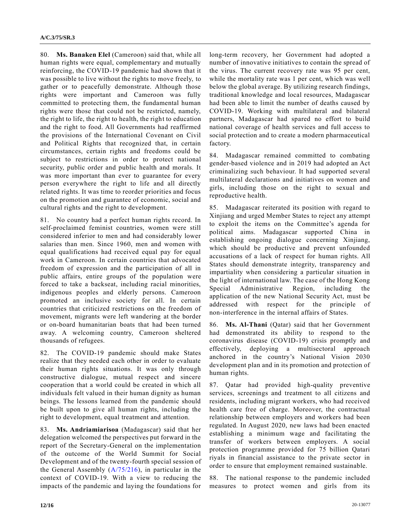80. **Ms. Banaken Elel** (Cameroon) said that, while all human rights were equal, complementary and mutually reinforcing, the COVID-19 pandemic had shown that it was possible to live without the rights to move freely, to gather or to peacefully demonstrate. Although those rights were important and Cameroon was fully committed to protecting them, the fundamental human rights were those that could not be restricted, namely, the right to life, the right to health, the right to education and the right to food. All Governments had reaffirmed the provisions of the International Covenant on Civil and Political Rights that recognized that, in certain circumstances, certain rights and freedoms could be subject to restrictions in order to protect national security, public order and public health and morals. It was more important than ever to guarantee for every person everywhere the right to life and all directly related rights. It was time to reorder priorities and focus on the promotion and guarantee of economic, social and cultural rights and the right to development.

81. No country had a perfect human rights record. In self-proclaimed feminist countries, women were still considered inferior to men and had considerably lower salaries than men. Since 1960, men and women with equal qualifications had received equal pay for equal work in Cameroon. In certain countries that advocated freedom of expression and the participation of all in public affairs, entire groups of the population were forced to take a backseat, including racial minorities, indigenous peoples and elderly persons. Cameroon promoted an inclusive society for all. In certain countries that criticized restrictions on the freedom of movement, migrants were left wandering at the border or on-board humanitarian boats that had been turned away. A welcoming country, Cameroon sheltered thousands of refugees.

82. The COVID-19 pandemic should make States realize that they needed each other in order to evaluate their human rights situations. It was only through constructive dialogue, mutual respect and sincere cooperation that a world could be created in which all individuals felt valued in their human dignity as human beings. The lessons learned from the pandemic should be built upon to give all human rights, including the right to development, equal treatment and attention.

83. **Ms. Andriamiarisoa** (Madagascar) said that her delegation welcomed the perspectives put forward in the report of the Secretary-General on the implementation of the outcome of the World Summit for Social Development and of the twenty-fourth special session of the General Assembly [\(A/75/216\)](https://undocs.org/en/A/75/216), in particular in the context of COVID-19. With a view to reducing the impacts of the pandemic and laying the foundations for

long-term recovery, her Government had adopted a number of innovative initiatives to contain the spread of the virus. The current recovery rate was 95 per cent, while the mortality rate was 1 per cent, which was well below the global average. By utilizing research findings, traditional knowledge and local resources, Madagascar had been able to limit the number of deaths caused by COVID-19. Working with multilateral and bilateral partners, Madagascar had spared no effort to build national coverage of health services and full access to social protection and to create a modern pharmaceutical factory.

84. Madagascar remained committed to combating gender-based violence and in 2019 had adopted an Act criminalizing such behaviour. It had supported several multilateral declarations and initiatives on women and girls, including those on the right to sexual and reproductive health.

85. Madagascar reiterated its position with regard to Xinjiang and urged Member States to reject any attempt to exploit the items on the Committee's agenda for political aims. Madagascar supported China in establishing ongoing dialogue concerning Xinjiang, which should be productive and prevent unfounded accusations of a lack of respect for human rights. All States should demonstrate integrity, transparency and impartiality when considering a particular situation in the light of international law. The case of the Hong Kong Special Administrative Region, including the application of the new National Security Act, must be addressed with respect for the principle of non- interference in the internal affairs of States.

86. **Ms. Al-Thani** (Qatar) said that her Government had demonstrated its ability to respond to the coronavirus disease (COVID-19) crisis promptly and effectively, deploying a multisectoral approach anchored in the country's National Vision 2030 development plan and in its promotion and protection of human rights.

87. Qatar had provided high-quality preventive services, screenings and treatment to all citizens and residents, including migrant workers, who had received health care free of charge. Moreover, the contractual relationship between employers and workers had been regulated. In August 2020, new laws had been enacted establishing a minimum wage and facilitating the transfer of workers between employers. A social protection programme provided for 75 billion Qatari riyals in financial assistance to the private sector in order to ensure that employment remained sustainable.

88. The national response to the pandemic included measures to protect women and girls from its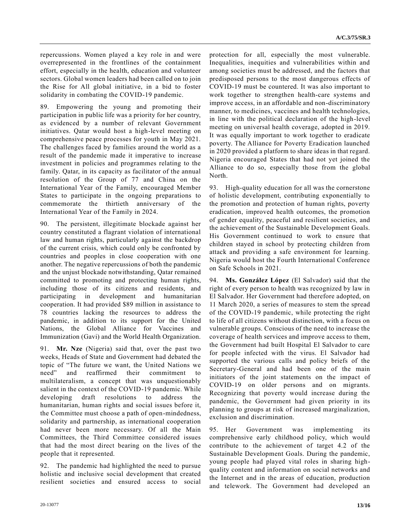repercussions. Women played a key role in and were overrepresented in the frontlines of the containment effort, especially in the health, education and volunteer sectors. Global women leaders had been called on to join the Rise for All global initiative, in a bid to foster solidarity in combating the COVID-19 pandemic.

89. Empowering the young and promoting their participation in public life was a priority for her country, as evidenced by a number of relevant Government initiatives. Qatar would host a high-level meeting on comprehensive peace processes for youth in May 2021. The challenges faced by families around the world as a result of the pandemic made it imperative to increase investment in policies and programmes relating to the family. Qatar, in its capacity as facilitator of the annual resolution of the Group of 77 and China on the International Year of the Family, encouraged Member States to participate in the ongoing preparations to commemorate the thirtieth anniversary of the International Year of the Family in 2024.

90. The persistent, illegitimate blockade against her country constituted a flagrant violation of international law and human rights, particularly against the backdrop of the current crisis, which could only be confronted by countries and peoples in close cooperation with one another. The negative repercussions of both the pandemic and the unjust blockade notwithstanding, Qatar remained committed to promoting and protecting human rights, including those of its citizens and residents, and participating in development and humanitarian cooperation. It had provided \$89 million in assistance to 78 countries lacking the resources to address the pandemic, in addition to its support for the United Nations, the Global Alliance for Vaccines and Immunization (Gavi) and the World Health Organization.

91. **Mr. Nze** (Nigeria) said that, over the past two weeks, Heads of State and Government had debated the topic of "The future we want, the United Nations we need" and reaffirmed their commitment to multilateralism, a concept that was unquestionably salient in the context of the COVID-19 pandemic. While developing draft resolutions to address the humanitarian, human rights and social issues before it, the Committee must choose a path of open-mindedness, solidarity and partnership, as international cooperation had never been more necessary. Of all the Main Committees, the Third Committee considered issues that had the most direct bearing on the lives of the people that it represented.

92. The pandemic had highlighted the need to pursue holistic and inclusive social development that created resilient societies and ensured access to social

protection for all, especially the most vulnerable. Inequalities, inequities and vulnerabilities within and among societies must be addressed, and the factors that predisposed persons to the most dangerous effects of COVID-19 must be countered. It was also important to work together to strengthen health-care systems and improve access, in an affordable and non-discriminatory manner, to medicines, vaccines and health technologies, in line with the political declaration of the high-level meeting on universal health coverage, adopted in 2019. It was equally important to work together to eradicate poverty. The Alliance for Poverty Eradication launched in 2020 provided a platform to share ideas in that regard. Nigeria encouraged States that had not yet joined the Alliance to do so, especially those from the global North.

93. High-quality education for all was the cornerstone of holistic development, contributing exponentially to the promotion and protection of human rights, poverty eradication, improved health outcomes, the promotion of gender equality, peaceful and resilient societies, and the achievement of the Sustainable Development Goals. His Government continued to work to ensure that children stayed in school by protecting children from attack and providing a safe environment for learning. Nigeria would host the Fourth International Conference on Safe Schools in 2021.

94. **Ms. González López** (El Salvador) said that the right of every person to health was recognized by law in El Salvador. Her Government had therefore adopted, on 11 March 2020, a series of measures to stem the spread of the COVID-19 pandemic, while protecting the right to life of all citizens without distinction, with a focus on vulnerable groups. Conscious of the need to increase the coverage of health services and improve access to them, the Government had built Hospital El Salvador to care for people infected with the virus. El Salvador had supported the various calls and policy briefs of the Secretary-General and had been one of the main initiators of the joint statements on the impact of COVID-19 on older persons and on migrants. Recognizing that poverty would increase during the pandemic, the Government had given priority in its planning to groups at risk of increased marginalization, exclusion and discrimination.

95. Her Government was implementing its comprehensive early childhood policy, which would contribute to the achievement of target 4.2 of the Sustainable Development Goals. During the pandemic, young people had played vital roles in sharing highquality content and information on social networks and the Internet and in the areas of education, production and telework. The Government had developed an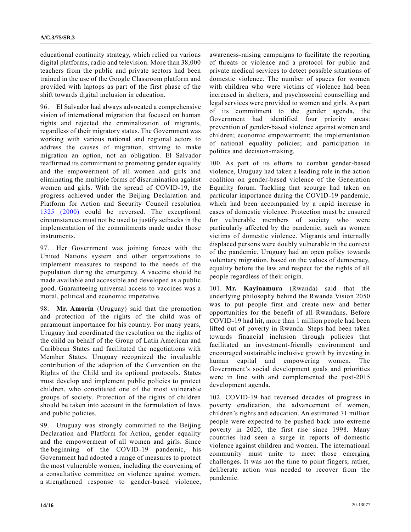educational continuity strategy, which relied on various digital platforms, radio and television. More than 38,000 teachers from the public and private sectors had been trained in the use of the Google Classroom platform and provided with laptops as part of the first phase of the shift towards digital inclusion in education.

96. El Salvador had always advocated a comprehensive vision of international migration that focused on human rights and rejected the criminalization of migrants, regardless of their migratory status. The Government was working with various national and regional actors to address the causes of migration, striving to make migration an option, not an obligation. El Salvador reaffirmed its commitment to promoting gender equality and the empowerment of all women and girls and eliminating the multiple forms of discrimination against women and girls. With the spread of COVID-19, the progress achieved under the Beijing Declaration and Platform for Action and Security Council resolution [1325 \(2000\)](https://undocs.org/en/S/RES/1325(2000)) could be reversed. The exceptional circumstances must not be used to justify setbacks in the implementation of the commitments made under those instruments.

97. Her Government was joining forces with the United Nations system and other organizations to implement measures to respond to the needs of the population during the emergency. A vaccine should be made available and accessible and developed as a public good. Guaranteeing universal access to vaccines was a moral, political and economic imperative.

98. **Mr. Amorín** (Uruguay) said that the promotion and protection of the rights of the child was of paramount importance for his country. For many years, Uruguay had coordinated the resolution on the rights of the child on behalf of the Group of Latin American and Caribbean States and facilitated the negotiations with Member States. Uruguay recognized the invaluable contribution of the adoption of the Convention on the Rights of the Child and its optional protocols. States must develop and implement public policies to protect children, who constituted one of the most vulnerable groups of society. Protection of the rights of children should be taken into account in the formulation of laws and public policies.

99. Uruguay was strongly committed to the Beijing Declaration and Platform for Action, gender equality and the empowerment of all women and girls. Since the beginning of the COVID-19 pandemic, his Government had adopted a range of measures to protect the most vulnerable women, including the convening of a consultative committee on violence against women, a strengthened response to gender-based violence,

awareness-raising campaigns to facilitate the reporting of threats or violence and a protocol for public and private medical services to detect possible situations of domestic violence. The number of spaces for women with children who were victims of violence had been increased in shelters, and psychosocial counselling and legal services were provided to women and girls. As part of its commitment to the gender agenda, the Government had identified four priority areas: prevention of gender-based violence against women and children; economic empowerment; the implementation of national equality policies; and participation in politics and decision-making.

100. As part of its efforts to combat gender-based violence, Uruguay had taken a leading role in the action coalition on gender-based violence of the Generation Equality forum. Tackling that scourge had taken on particular importance during the COVID-19 pandemic, which had been accompanied by a rapid increase in cases of domestic violence. Protection must be ensured for vulnerable members of society who were particularly affected by the pandemic, such as women victims of domestic violence. Migrants and internally displaced persons were doubly vulnerable in the context of the pandemic. Uruguay had an open policy towards voluntary migration, based on the values of democracy, equality before the law and respect for the rights of all people regardless of their origin.

101. **Mr. Kayinamura** (Rwanda) said that the underlying philosophy behind the Rwanda Vision 2050 was to put people first and create new and better opportunities for the benefit of all Rwandans. Before COVID-19 had hit, more than 1 million people had been lifted out of poverty in Rwanda. Steps had been taken towards financial inclusion through policies that facilitated an investment-friendly environment and encouraged sustainable inclusive growth by investing in human capital and empowering women. The Government's social development goals and priorities were in line with and complemented the post-2015 development agenda.

102. COVID-19 had reversed decades of progress in poverty eradication, the advancement of women, children's rights and education. An estimated 71 million people were expected to be pushed back into extreme poverty in 2020, the first rise since 1998. Many countries had seen a surge in reports of domestic violence against children and women. The international community must unite to meet those emerging challenges. It was not the time to point fingers; rather, deliberate action was needed to recover from the pandemic.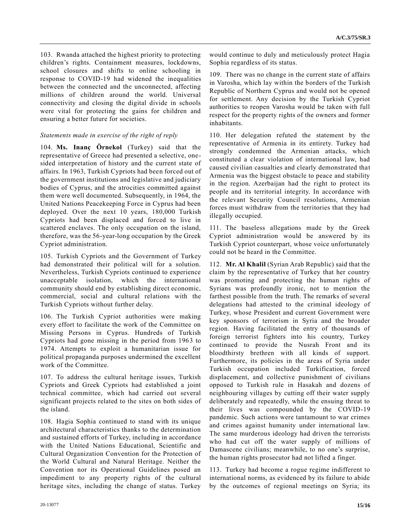103. Rwanda attached the highest priority to protecting children's rights. Containment measures, lockdowns, school closures and shifts to online schooling in response to COVID-19 had widened the inequalities between the connected and the unconnected, affecting millions of children around the world. Universal connectivity and closing the digital divide in schools were vital for protecting the gains for children and ensuring a better future for societies.

### *Statements made in exercise of the right of reply*

104. **Ms. Inanç Örnekol** (Turkey) said that the representative of Greece had presented a selective, onesided interpretation of history and the current state of affairs. In 1963, Turkish Cypriots had been forced out of the government institutions and legislative and judiciary bodies of Cyprus, and the atrocities committed against them were well documented. Subsequently, in 1964, the United Nations Peacekeeping Force in Cyprus had been deployed. Over the next 10 years, 180,000 Turkish Cypriots had been displaced and forced to live in scattered enclaves. The only occupation on the island, therefore, was the 56-year-long occupation by the Greek Cypriot administration.

105. Turkish Cypriots and the Government of Turkey had demonstrated their political will for a solution. Nevertheless, Turkish Cypriots continued to experience unacceptable isolation, which the international community should end by establishing direct economic, commercial, social and cultural relations with the Turkish Cypriots without further delay.

106. The Turkish Cypriot authorities were making every effort to facilitate the work of the Committee on Missing Persons in Cyprus. Hundreds of Turkish Cypriots had gone missing in the period from 1963 to 1974. Attempts to exploit a humanitarian issue for political propaganda purposes undermined the excellent work of the Committee.

107. To address the cultural heritage issues, Turkish Cypriots and Greek Cypriots had established a joint technical committee, which had carried out several significant projects related to the sites on both sides of the island.

108. Hagia Sophia continued to stand with its unique architectural characteristics thanks to the determination and sustained efforts of Turkey, including in accordance with the United Nations Educational, Scientific and Cultural Organization Convention for the Protection of the World Cultural and Natural Heritage. Neither the Convention nor its Operational Guidelines posed an impediment to any property rights of the cultural heritage sites, including the change of status. Turkey would continue to duly and meticulously protect Hagia Sophia regardless of its status.

109. There was no change in the current state of affairs in Varosha, which lay within the borders of the Turkish Republic of Northern Cyprus and would not be opened for settlement. Any decision by the Turkish Cypriot authorities to reopen Varosha would be taken with full respect for the property rights of the owners and former inhabitants.

110. Her delegation refuted the statement by the representative of Armenia in its entirety. Turkey had strongly condemned the Armenian attacks, which constituted a clear violation of international law, had caused civilian casualties and clearly demonstrated that Armenia was the biggest obstacle to peace and stability in the region. Azerbaijan had the right to protect its people and its territorial integrity. In accordance with the relevant Security Council resolutions, Armenian forces must withdraw from the territories that they had illegally occupied.

111. The baseless allegations made by the Greek Cypriot administration would be answered by its Turkish Cypriot counterpart, whose voice unfortunately could not be heard in the Committee.

112. **Mr. Al Khalil** (Syrian Arab Republic) said that the claim by the representative of Turkey that her country was promoting and protecting the human rights of Syrians was profoundly ironic, not to mention the farthest possible from the truth. The remarks of several delegations had attested to the criminal ideology of Turkey, whose President and current Government were key sponsors of terrorism in Syria and the broader region. Having facilitated the entry of thousands of foreign terrorist fighters into his country, Turkey continued to provide the Nusrah Front and its bloodthirsty brethren with all kinds of support. Furthermore, its policies in the areas of Syria under Turkish occupation included Turkification, forced displacement, and collective punishment of civilians opposed to Turkish rule in Hasakah and dozens of neighbouring villages by cutting off their water supply deliberately and repeatedly, while the ensuing threat to their lives was compounded by the COVID-19 pandemic. Such actions were tantamount to war crimes and crimes against humanity under international law. The same murderous ideology had driven the terrorists who had cut off the water supply of millions of Damascene civilians; meanwhile, to no one's surprise, the human rights prosecutor had not lifted a finger.

113. Turkey had become a rogue regime indifferent to international norms, as evidenced by its failure to abide by the outcomes of regional meetings on Syria; its